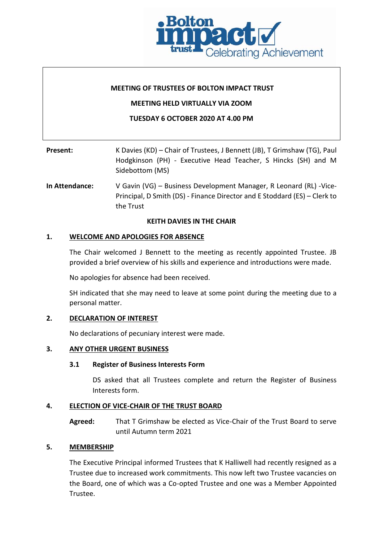

## **MEETING OF TRUSTEES OF BOLTON IMPACT TRUST**

## **MEETING HELD VIRTUALLY VIA ZOOM**

# **TUESDAY 6 OCTOBER 2020 AT 4.00 PM**

| Present: | K Davies (KD) – Chair of Trustees, J Bennett (JB), T Grimshaw (TG), Paul         |  |  |
|----------|----------------------------------------------------------------------------------|--|--|
|          | Hodgkinson (PH) - Executive Head Teacher, S Hincks (SH) and M<br>Sidebottom (MS) |  |  |

**In Attendance:** V Gavin (VG) – Business Development Manager, R Leonard (RL) -Vice-Principal, D Smith (DS) - Finance Director and E Stoddard (ES) – Clerk to the Trust

## **KEITH DAVIES IN THE CHAIR**

## **1. WELCOME AND APOLOGIES FOR ABSENCE**

The Chair welcomed J Bennett to the meeting as recently appointed Trustee. JB provided a brief overview of his skills and experience and introductions were made.

No apologies for absence had been received.

SH indicated that she may need to leave at some point during the meeting due to a personal matter.

## **2. DECLARATION OF INTEREST**

No declarations of pecuniary interest were made.

# **3. ANY OTHER URGENT BUSINESS**

## **3.1 Register of Business Interests Form**

DS asked that all Trustees complete and return the Register of Business Interests form.

# **4. ELECTION OF VICE-CHAIR OF THE TRUST BOARD**

**Agreed:** That T Grimshaw be elected as Vice-Chair of the Trust Board to serve until Autumn term 2021

# **5. MEMBERSHIP**

The Executive Principal informed Trustees that K Halliwell had recently resigned as a Trustee due to increased work commitments. This now left two Trustee vacancies on the Board, one of which was a Co-opted Trustee and one was a Member Appointed Trustee.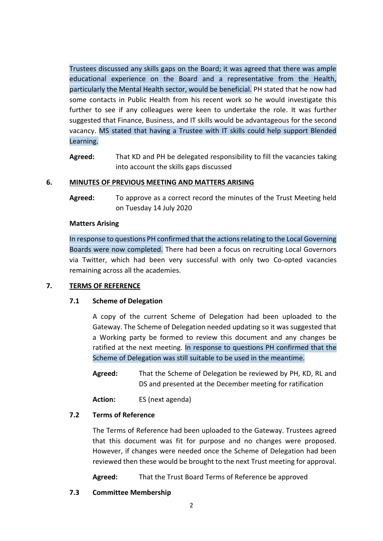Trustees discussed any skills gaps on the Board; it was agreed that there was ample educational experience on the Board and a representative from the Health, particularly the Mental Health sector, would be beneficial. PH stated that he now had some contacts in Public Health from his recent work so he would investigate this further to see if any colleagues were keen to undertake the role. It was further suggested that Finance, Business, and IT skills would be advantageous for the second vacancy. MS stated that having a Trustee with IT skills could help support Blended Learning.

**Agreed:** That KD and PH be delegated responsibility to fill the vacancies taking into account the skills gaps discussed

# **6. MINUTES OF PREVIOUS MEETING AND MATTERS ARISING**

**Agreed:** To approve as a correct record the minutes of the Trust Meeting held on Tuesday 14 July 2020

## **Matters Arising**

In response to questions PH confirmed that the actions relating to the Local Governing Boards were now completed. There had been a focus on recruiting Local Governors via Twitter, which had been very successful with only two Co-opted vacancies remaining across all the academies.

# **7. TERMS OF REFERENCE**

## **7.1 Scheme of Delegation**

A copy of the current Scheme of Delegation had been uploaded to the Gateway. The Scheme of Delegation needed updating so it was suggested that a Working party be formed to review this document and any changes be ratified at the next meeting. In response to questions PH confirmed that the Scheme of Delegation was still suitable to be used in the meantime.

**Agreed:** That the Scheme of Delegation be reviewed by PH, KD, RL and DS and presented at the December meeting for ratification

**Action:** ES (next agenda)

## **7.2 Terms of Reference**

The Terms of Reference had been uploaded to the Gateway. Trustees agreed that this document was fit for purpose and no changes were proposed. However, if changes were needed once the Scheme of Delegation had been reviewed then these would be brought to the next Trust meeting for approval.

**Agreed:** That the Trust Board Terms of Reference be approved

# **7.3 Committee Membership**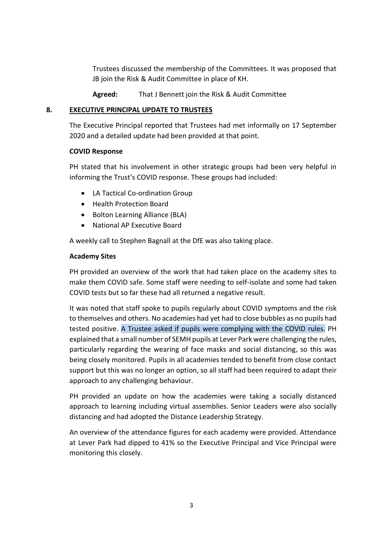Trustees discussed the membership of the Committees. It was proposed that JB join the Risk & Audit Committee in place of KH.

**Agreed:** That J Bennett join the Risk & Audit Committee

# **8. EXECUTIVE PRINCIPAL UPDATE TO TRUSTEES**

The Executive Principal reported that Trustees had met informally on 17 September 2020 and a detailed update had been provided at that point.

# **COVID Response**

PH stated that his involvement in other strategic groups had been very helpful in informing the Trust's COVID response. These groups had included:

- LA Tactical Co-ordination Group
- Health Protection Board
- Bolton Learning Alliance (BLA)
- National AP Executive Board

A weekly call to Stephen Bagnall at the DfE was also taking place.

# **Academy Sites**

PH provided an overview of the work that had taken place on the academy sites to make them COVID safe. Some staff were needing to self-isolate and some had taken COVID tests but so far these had all returned a negative result.

It was noted that staff spoke to pupils regularly about COVID symptoms and the risk to themselves and others. No academies had yet had to close bubbles as no pupils had tested positive. A Trustee asked if pupils were complying with the COVID rules. PH explained that a small number of SEMH pupils at Lever Park were challenging the rules, particularly regarding the wearing of face masks and social distancing, so this was being closely monitored. Pupils in all academies tended to benefit from close contact support but this was no longer an option, so all staff had been required to adapt their approach to any challenging behaviour.

PH provided an update on how the academies were taking a socially distanced approach to learning including virtual assemblies. Senior Leaders were also socially distancing and had adopted the Distance Leadership Strategy.

An overview of the attendance figures for each academy were provided. Attendance at Lever Park had dipped to 41% so the Executive Principal and Vice Principal were monitoring this closely.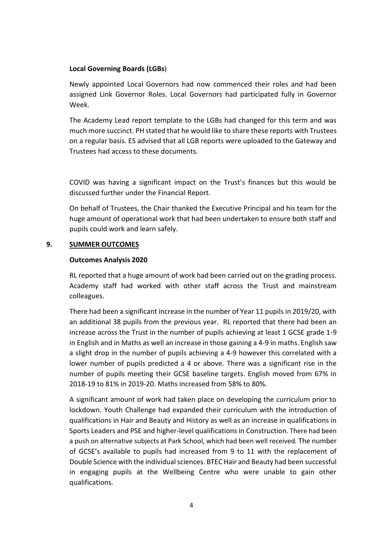# **Local Governing Boards (LGBs**)

Newly appointed Local Governors had now commenced their roles and had been assigned Link Governor Roles. Local Governors had participated fully in Governor Week.

The Academy Lead report template to the LGBs had changed for this term and was much more succinct. PH stated that he would like to share these reports with Trustees on a regular basis. ES advised that all LGB reports were uploaded to the Gateway and Trustees had access to these documents.

COVID was having a significant impact on the Trust's finances but this would be discussed further under the Financial Report.

On behalf of Trustees, the Chair thanked the Executive Principal and his team for the huge amount of operational work that had been undertaken to ensure both staff and pupils could work and learn safely.

# **9. SUMMER OUTCOMES**

# **Outcomes Analysis 2020**

RL reported that a huge amount of work had been carried out on the grading process. Academy staff had worked with other staff across the Trust and mainstream colleagues.

There had been a significant increase in the number of Year 11 pupils in 2019/20, with an additional 38 pupils from the previous year. RL reported that there had been an increase across the Trust in the number of pupils achieving at least 1 GCSE grade 1-9 in English and in Maths as well an increase in those gaining a 4-9 in maths. English saw a slight drop in the number of pupils achieving a 4-9 however this correlated with a lower number of pupils predicted a 4 or above. There was a significant rise in the number of pupils meeting their GCSE baseline targets. English moved from 67% in 2018-19 to 81% in 2019-20. Maths increased from 58% to 80%.

A significant amount of work had taken place on developing the curriculum prior to lockdown. Youth Challenge had expanded their curriculum with the introduction of qualifications in Hair and Beauty and History as well as an increase in qualifications in Sports Leaders and PSE and higher-level qualifications in Construction. There had been a push on alternative subjects at Park School, which had been well received. The number of GCSE's available to pupils had increased from 9 to 11 with the replacement of Double Science with the individual sciences. BTEC Hair and Beauty had been successful in engaging pupils at the Wellbeing Centre who were unable to gain other qualifications.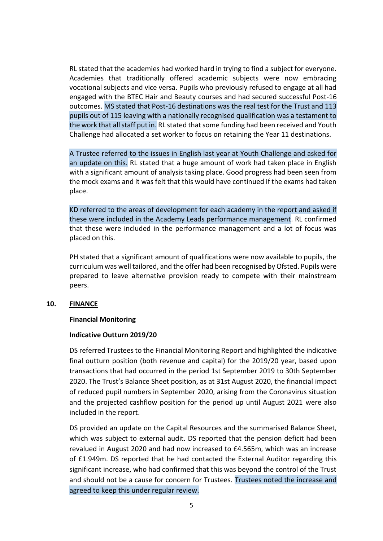RL stated that the academies had worked hard in trying to find a subject for everyone. Academies that traditionally offered academic subjects were now embracing vocational subjects and vice versa. Pupils who previously refused to engage at all had engaged with the BTEC Hair and Beauty courses and had secured successful Post-16 outcomes. MS stated that Post-16 destinations was the real test for the Trust and 113 pupils out of 115 leaving with a nationally recognised qualification was a testament to the work that all staff put in. RL stated that some funding had been received and Youth Challenge had allocated a set worker to focus on retaining the Year 11 destinations.

A Trustee referred to the issues in English last year at Youth Challenge and asked for an update on this. RL stated that a huge amount of work had taken place in English with a significant amount of analysis taking place. Good progress had been seen from the mock exams and it was felt that this would have continued if the exams had taken place.

KD referred to the areas of development for each academy in the report and asked if these were included in the Academy Leads performance management. RL confirmed that these were included in the performance management and a lot of focus was placed on this.

PH stated that a significant amount of qualifications were now available to pupils, the curriculum was well tailored, and the offer had been recognised by Ofsted. Pupils were prepared to leave alternative provision ready to compete with their mainstream peers.

## **10. FINANCE**

## **Financial Monitoring**

#### **Indicative Outturn 2019/20**

DS referred Trustees to the Financial Monitoring Report and highlighted the indicative final outturn position (both revenue and capital) for the 2019/20 year, based upon transactions that had occurred in the period 1st September 2019 to 30th September 2020. The Trust's Balance Sheet position, as at 31st August 2020, the financial impact of reduced pupil numbers in September 2020, arising from the Coronavirus situation and the projected cashflow position for the period up until August 2021 were also included in the report.

DS provided an update on the Capital Resources and the summarised Balance Sheet, which was subject to external audit. DS reported that the pension deficit had been revalued in August 2020 and had now increased to £4.565m, which was an increase of £1.949m. DS reported that he had contacted the External Auditor regarding this significant increase, who had confirmed that this was beyond the control of the Trust and should not be a cause for concern for Trustees. Trustees noted the increase and agreed to keep this under regular review.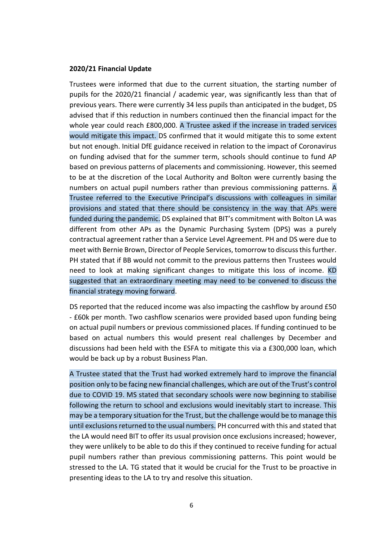#### **2020/21 Financial Update**

Trustees were informed that due to the current situation, the starting number of pupils for the 2020/21 financial / academic year, was significantly less than that of previous years. There were currently 34 less pupils than anticipated in the budget, DS advised that if this reduction in numbers continued then the financial impact for the whole year could reach £800,000. A Trustee asked if the increase in traded services would mitigate this impact. DS confirmed that it would mitigate this to some extent but not enough. Initial DfE guidance received in relation to the impact of Coronavirus on funding advised that for the summer term, schools should continue to fund AP based on previous patterns of placements and commissioning. However, this seemed to be at the discretion of the Local Authority and Bolton were currently basing the numbers on actual pupil numbers rather than previous commissioning patterns. A Trustee referred to the Executive Principal's discussions with colleagues in similar provisions and stated that there should be consistency in the way that APs were funded during the pandemic. DS explained that BIT's commitment with Bolton LA was different from other APs as the Dynamic Purchasing System (DPS) was a purely contractual agreement rather than a Service Level Agreement. PH and DS were due to meet with Bernie Brown, Director of People Services, tomorrow to discuss this further. PH stated that if BB would not commit to the previous patterns then Trustees would need to look at making significant changes to mitigate this loss of income. KD suggested that an extraordinary meeting may need to be convened to discuss the financial strategy moving forward.

DS reported that the reduced income was also impacting the cashflow by around £50 - £60k per month. Two cashflow scenarios were provided based upon funding being on actual pupil numbers or previous commissioned places. If funding continued to be based on actual numbers this would present real challenges by December and discussions had been held with the ESFA to mitigate this via a £300,000 loan, which would be back up by a robust Business Plan.

A Trustee stated that the Trust had worked extremely hard to improve the financial position only to be facing new financial challenges, which are out of the Trust's control due to COVID 19. MS stated that secondary schools were now beginning to stabilise following the return to school and exclusions would inevitably start to increase. This may be a temporary situation for the Trust, but the challenge would be to manage this until exclusions returned to the usual numbers. PH concurred with this and stated that the LA would need BIT to offer its usual provision once exclusions increased; however, they were unlikely to be able to do this if they continued to receive funding for actual pupil numbers rather than previous commissioning patterns. This point would be stressed to the LA. TG stated that it would be crucial for the Trust to be proactive in presenting ideas to the LA to try and resolve this situation.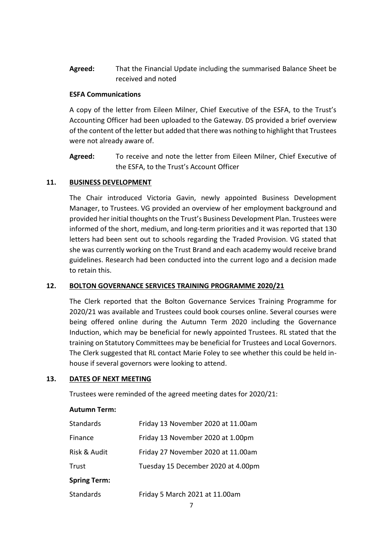**Agreed:** That the Financial Update including the summarised Balance Sheet be received and noted

# **ESFA Communications**

A copy of the letter from Eileen Milner, Chief Executive of the ESFA, to the Trust's Accounting Officer had been uploaded to the Gateway. DS provided a brief overview of the content of the letter but added that there was nothing to highlight that Trustees were not already aware of.

**Agreed:** To receive and note the letter from Eileen Milner, Chief Executive of the ESFA, to the Trust's Account Officer

# **11. BUSINESS DEVELOPMENT**

The Chair introduced Victoria Gavin, newly appointed Business Development Manager, to Trustees. VG provided an overview of her employment background and provided her initial thoughts on the Trust's Business Development Plan. Trustees were informed of the short, medium, and long-term priorities and it was reported that 130 letters had been sent out to schools regarding the Traded Provision. VG stated that she was currently working on the Trust Brand and each academy would receive brand guidelines. Research had been conducted into the current logo and a decision made to retain this.

# **12. BOLTON GOVERNANCE SERVICES TRAINING PROGRAMME 2020/21**

The Clerk reported that the Bolton Governance Services Training Programme for 2020/21 was available and Trustees could book courses online. Several courses were being offered online during the Autumn Term 2020 including the Governance Induction, which may be beneficial for newly appointed Trustees. RL stated that the training on Statutory Committees may be beneficial for Trustees and Local Governors. The Clerk suggested that RL contact Marie Foley to see whether this could be held inhouse if several governors were looking to attend.

## **13. DATES OF NEXT MEETING**

Trustees were reminded of the agreed meeting dates for 2020/21:

## **Autumn Term:**

| <b>Standards</b>    | Friday 13 November 2020 at 11.00am |  |
|---------------------|------------------------------------|--|
| Finance             | Friday 13 November 2020 at 1.00pm  |  |
| Risk & Audit        | Friday 27 November 2020 at 11.00am |  |
| Trust               | Tuesday 15 December 2020 at 4.00pm |  |
| <b>Spring Term:</b> |                                    |  |
| <b>Standards</b>    | Friday 5 March 2021 at 11.00am     |  |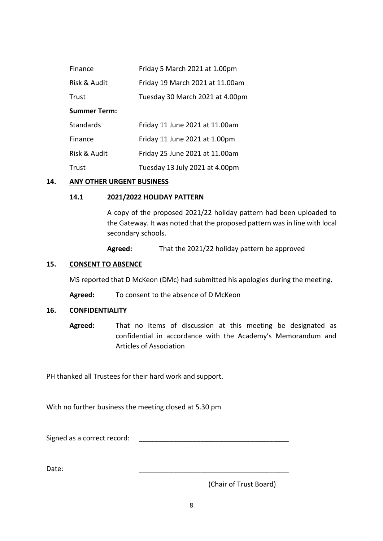| Finance             | Friday 5 March 2021 at 1.00pm   |  |
|---------------------|---------------------------------|--|
| Risk & Audit        | Friday 19 March 2021 at 11.00am |  |
| Trust               | Tuesday 30 March 2021 at 4.00pm |  |
| <b>Summer Term:</b> |                                 |  |
| <b>Standards</b>    | Friday 11 June 2021 at 11.00am  |  |
| Finance             | Friday 11 June 2021 at 1.00pm   |  |
| Risk & Audit        | Friday 25 June 2021 at 11.00am  |  |
| Trust               | Tuesday 13 July 2021 at 4.00pm  |  |

## **14. ANY OTHER URGENT BUSINESS**

# **14.1 2021/2022 HOLIDAY PATTERN**

A copy of the proposed 2021/22 holiday pattern had been uploaded to the Gateway. It was noted that the proposed pattern was in line with local secondary schools.

**Agreed:** That the 2021/22 holiday pattern be approved

# **15. CONSENT TO ABSENCE**

MS reported that D McKeon (DMc) had submitted his apologies during the meeting.

**Agreed:** To consent to the absence of D McKeon

## **16. CONFIDENTIALITY**

**Agreed:** That no items of discussion at this meeting be designated as confidential in accordance with the Academy's Memorandum and Articles of Association

PH thanked all Trustees for their hard work and support.

With no further business the meeting closed at 5.30 pm

Signed as a correct record:

Date: \_\_\_\_\_\_\_\_\_\_\_\_\_\_\_\_\_\_\_\_\_\_\_\_\_\_\_\_\_\_\_\_\_\_\_\_\_\_\_

(Chair of Trust Board)